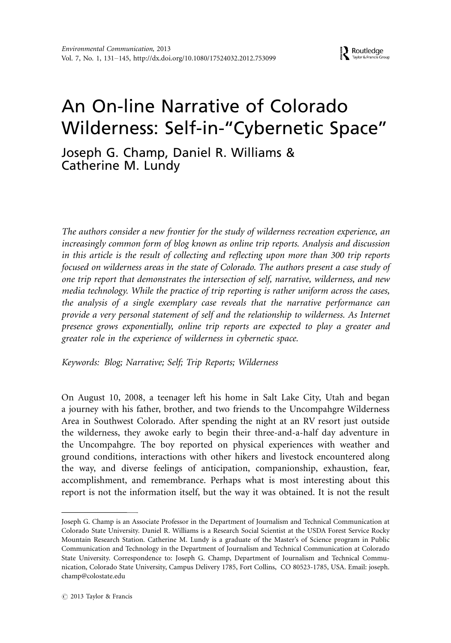# An On-line Narrative of Colorado Wilderness: Self-in-''Cybernetic Space''

Joseph G. Champ, Daniel R. Williams & Catherine M. Lundy

The authors consider a new frontier for the study of wilderness recreation experience, an increasingly common form of blog known as online trip reports. Analysis and discussion in this article is the result of collecting and reflecting upon more than 300 trip reports focused on wilderness areas in the state of Colorado. The authors present a case study of one trip report that demonstrates the intersection of self, narrative, wilderness, and new media technology. While the practice of trip reporting is rather uniform across the cases, the analysis of a single exemplary case reveals that the narrative performance can provide a very personal statement of self and the relationship to wilderness. As Internet presence grows exponentially, online trip reports are expected to play a greater and greater role in the experience of wilderness in cybernetic space.

Keywords: Blog; Narrative; Self; Trip Reports; Wilderness

On August 10, 2008, a teenager left his home in Salt Lake City, Utah and began a journey with his father, brother, and two friends to the Uncompahgre Wilderness Area in Southwest Colorado. After spending the night at an RV resort just outside the wilderness, they awoke early to begin their three-and-a-half day adventure in the Uncompahgre. The boy reported on physical experiences with weather and ground conditions, interactions with other hikers and livestock encountered along the way, and diverse feelings of anticipation, companionship, exhaustion, fear, accomplishment, and remembrance. Perhaps what is most interesting about this report is not the information itself, but the way it was obtained. It is not the result

Joseph G. Champ is an Associate Professor in the Department of Journalism and Technical Communication at Colorado State University. Daniel R. Williams is a Research Social Scientist at the USDA Forest Service Rocky Mountain Research Station. Catherine M. Lundy is a graduate of the Master's of Science program in Public Communication and Technology in the Department of Journalism and Technical Communication at Colorado State University. Correspondence to: Joseph G. Champ, Department of Journalism and Technical Communication, Colorado State University, Campus Delivery 1785, Fort Collins, CO 80523-1785, USA. Email: joseph. champ@colostate.edu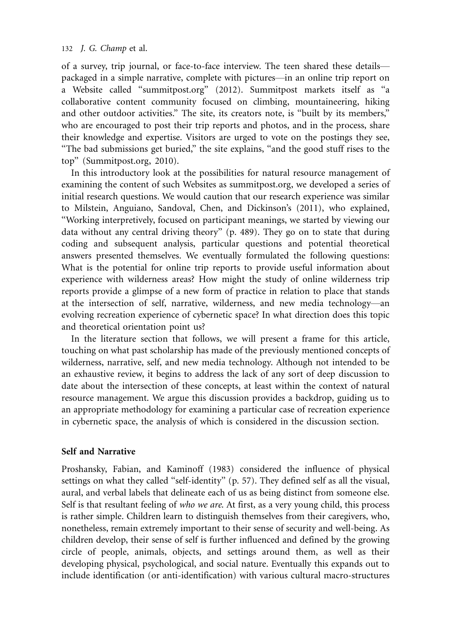of a survey, trip journal, or face-to-face interview. The teen shared these detailspackaged in a simple narrative, complete with pictures—in an online trip report on a Website called ''summitpost.org'' (2012). Summitpost markets itself as ''a collaborative content community focused on climbing, mountaineering, hiking and other outdoor activities.'' The site, its creators note, is ''built by its members,'' who are encouraged to post their trip reports and photos, and in the process, share their knowledge and expertise. Visitors are urged to vote on the postings they see, "The bad submissions get buried," the site explains, "and the good stuff rises to the top'' (Summitpost.org, 2010).

In this introductory look at the possibilities for natural resource management of examining the content of such Websites as summitpost.org, we developed a series of initial research questions. We would caution that our research experience was similar to Milstein, Anguiano, Sandoval, Chen, and Dickinson's (2011), who explained, ''Working interpretively, focused on participant meanings, we started by viewing our data without any central driving theory'' (p. 489). They go on to state that during coding and subsequent analysis, particular questions and potential theoretical answers presented themselves. We eventually formulated the following questions: What is the potential for online trip reports to provide useful information about experience with wilderness areas? How might the study of online wilderness trip reports provide a glimpse of a new form of practice in relation to place that stands at the intersection of self, narrative, wilderness, and new media technology—an evolving recreation experience of cybernetic space? In what direction does this topic and theoretical orientation point us?

In the literature section that follows, we will present a frame for this article, touching on what past scholarship has made of the previously mentioned concepts of wilderness, narrative, self, and new media technology. Although not intended to be an exhaustive review, it begins to address the lack of any sort of deep discussion to date about the intersection of these concepts, at least within the context of natural resource management. We argue this discussion provides a backdrop, guiding us to an appropriate methodology for examining a particular case of recreation experience in cybernetic space, the analysis of which is considered in the discussion section.

## Self and Narrative

Proshansky, Fabian, and Kaminoff (1983) considered the influence of physical settings on what they called "self-identity" (p. 57). They defined self as all the visual, aural, and verbal labels that delineate each of us as being distinct from someone else. Self is that resultant feeling of who we are. At first, as a very young child, this process is rather simple. Children learn to distinguish themselves from their caregivers, who, nonetheless, remain extremely important to their sense of security and well-being. As children develop, their sense of self is further influenced and defined by the growing circle of people, animals, objects, and settings around them, as well as their developing physical, psychological, and social nature. Eventually this expands out to include identification (or anti-identification) with various cultural macro-structures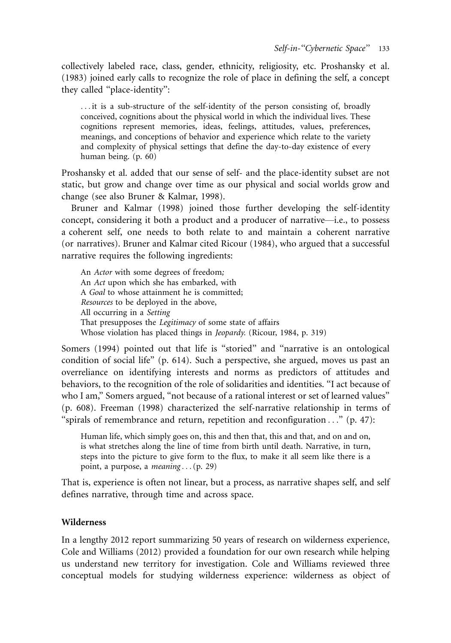collectively labeled race, class, gender, ethnicity, religiosity, etc. Proshansky et al. (1983) joined early calls to recognize the role of place in defining the self, a concept they called ''place-identity'':

... it is a sub-structure of the self-identity of the person consisting of, broadly conceived, cognitions about the physical world in which the individual lives. These cognitions represent memories, ideas, feelings, attitudes, values, preferences, meanings, and conceptions of behavior and experience which relate to the variety and complexity of physical settings that define the day-to-day existence of every human being. (p. 60)

Proshansky et al. added that our sense of self- and the place-identity subset are not static, but grow and change over time as our physical and social worlds grow and change (see also Bruner & Kalmar, 1998).

Bruner and Kalmar (1998) joined those further developing the self-identity concept, considering it both a product and a producer of narrative—i.e., to possess a coherent self, one needs to both relate to and maintain a coherent narrative (or narratives). Bruner and Kalmar cited Ricour (1984), who argued that a successful narrative requires the following ingredients:

An Actor with some degrees of freedom; An Act upon which she has embarked, with A Goal to whose attainment he is committed; Resources to be deployed in the above, All occurring in a Setting That presupposes the *Legitimacy* of some state of affairs Whose violation has placed things in Jeopardy. (Ricour, 1984, p. 319)

Somers (1994) pointed out that life is ''storied'' and ''narrative is an ontological condition of social life'' (p. 614). Such a perspective, she argued, moves us past an overreliance on identifying interests and norms as predictors of attitudes and behaviors, to the recognition of the role of solidarities and identities. ''I act because of who I am,'' Somers argued, ''not because of a rational interest or set of learned values'' (p. 608). Freeman (1998) characterized the self-narrative relationship in terms of "spirals of remembrance and return, repetition and reconfiguration ..." (p. 47):

Human life, which simply goes on, this and then that, this and that, and on and on, is what stretches along the line of time from birth until death. Narrative, in turn, steps into the picture to give form to the flux, to make it all seem like there is a point, a purpose, a *meaning* ... (p. 29)

That is, experience is often not linear, but a process, as narrative shapes self, and self defines narrative, through time and across space.

# Wilderness

In a lengthy 2012 report summarizing 50 years of research on wilderness experience, Cole and Williams (2012) provided a foundation for our own research while helping us understand new territory for investigation. Cole and Williams reviewed three conceptual models for studying wilderness experience: wilderness as object of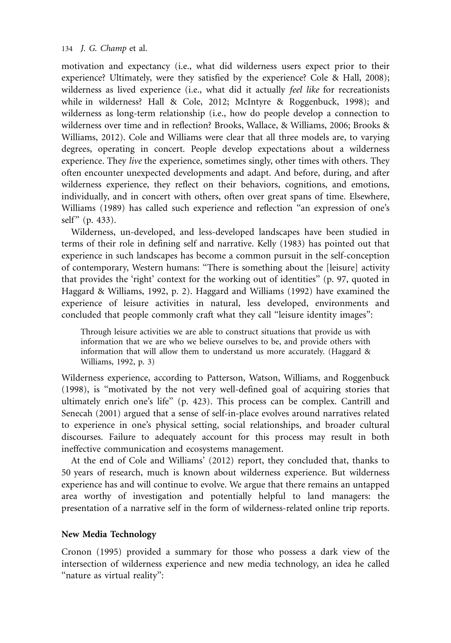motivation and expectancy (i.e., what did wilderness users expect prior to their experience? Ultimately, were they satisfied by the experience? Cole & Hall, 2008); wilderness as lived experience (i.e., what did it actually feel like for recreationists while in wilderness? Hall & Cole, 2012; McIntyre & Roggenbuck, 1998); and wilderness as long-term relationship (i.e., how do people develop a connection to wilderness over time and in reflection? Brooks, Wallace, & Williams, 2006; Brooks & Williams, 2012). Cole and Williams were clear that all three models are, to varying degrees, operating in concert. People develop expectations about a wilderness experience. They *live* the experience, sometimes singly, other times with others. They often encounter unexpected developments and adapt. And before, during, and after wilderness experience, they reflect on their behaviors, cognitions, and emotions, individually, and in concert with others, often over great spans of time. Elsewhere, Williams (1989) has called such experience and reflection ''an expression of one's self'' (p. 433).

Wilderness, un-developed, and less-developed landscapes have been studied in terms of their role in defining self and narrative. Kelly (1983) has pointed out that experience in such landscapes has become a common pursuit in the self-conception of contemporary, Western humans: ''There is something about the [leisure] activity that provides the 'right' context for the working out of identities'' (p. 97, quoted in Haggard & Williams, 1992, p. 2). Haggard and Williams (1992) have examined the experience of leisure activities in natural, less developed, environments and concluded that people commonly craft what they call ''leisure identity images'':

Through leisure activities we are able to construct situations that provide us with information that we are who we believe ourselves to be, and provide others with information that will allow them to understand us more accurately. (Haggard & Williams, 1992, p. 3)

Wilderness experience, according to Patterson, Watson, Williams, and Roggenbuck (1998), is ''motivated by the not very well-defined goal of acquiring stories that ultimately enrich one's life'' (p. 423). This process can be complex. Cantrill and Senecah (2001) argued that a sense of self-in-place evolves around narratives related to experience in one's physical setting, social relationships, and broader cultural discourses. Failure to adequately account for this process may result in both ineffective communication and ecosystems management.

At the end of Cole and Williams' (2012) report, they concluded that, thanks to 50 years of research, much is known about wilderness experience. But wilderness experience has and will continue to evolve. We argue that there remains an untapped area worthy of investigation and potentially helpful to land managers: the presentation of a narrative self in the form of wilderness-related online trip reports.

## New Media Technology

Cronon (1995) provided a summary for those who possess a dark view of the intersection of wilderness experience and new media technology, an idea he called "nature as virtual reality":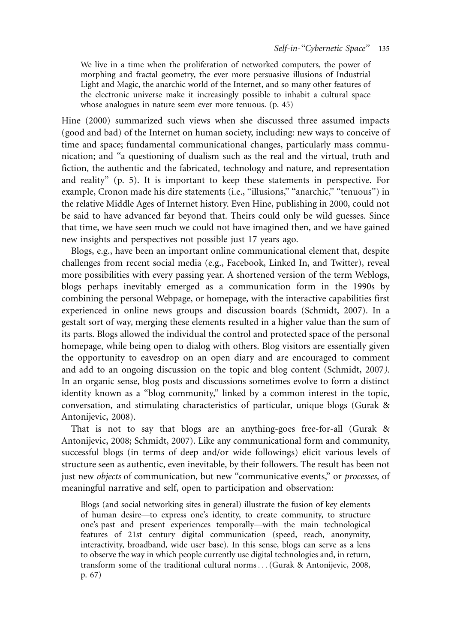We live in a time when the proliferation of networked computers, the power of morphing and fractal geometry, the ever more persuasive illusions of Industrial Light and Magic, the anarchic world of the Internet, and so many other features of the electronic universe make it increasingly possible to inhabit a cultural space whose analogues in nature seem ever more tenuous. (p. 45)

Hine (2000) summarized such views when she discussed three assumed impacts (good and bad) of the Internet on human society, including: new ways to conceive of time and space; fundamental communicational changes, particularly mass communication; and ''a questioning of dualism such as the real and the virtual, truth and fiction, the authentic and the fabricated, technology and nature, and representation and reality'' (p. 5). It is important to keep these statements in perspective. For example, Cronon made his dire statements (i.e., "illusions," "anarchic," "tenuous") in the relative Middle Ages of Internet history. Even Hine, publishing in 2000, could not be said to have advanced far beyond that. Theirs could only be wild guesses. Since that time, we have seen much we could not have imagined then, and we have gained new insights and perspectives not possible just 17 years ago.

Blogs, e.g., have been an important online communicational element that, despite challenges from recent social media (e.g., Facebook, Linked In, and Twitter), reveal more possibilities with every passing year. A shortened version of the term Weblogs, blogs perhaps inevitably emerged as a communication form in the 1990s by combining the personal Webpage, or homepage, with the interactive capabilities first experienced in online news groups and discussion boards (Schmidt, 2007). In a gestalt sort of way, merging these elements resulted in a higher value than the sum of its parts. Blogs allowed the individual the control and protected space of the personal homepage, while being open to dialog with others. Blog visitors are essentially given the opportunity to eavesdrop on an open diary and are encouraged to comment and add to an ongoing discussion on the topic and blog content (Schmidt, 2007). In an organic sense, blog posts and discussions sometimes evolve to form a distinct identity known as a "blog community," linked by a common interest in the topic, conversation, and stimulating characteristics of particular, unique blogs (Gurak & Antonijevic, 2008).

That is not to say that blogs are an anything-goes free-for-all (Gurak & Antonijevic, 2008; Schmidt, 2007). Like any communicational form and community, successful blogs (in terms of deep and/or wide followings) elicit various levels of structure seen as authentic, even inevitable, by their followers. The result has been not just new *objects* of communication, but new "communicative events," or *processes*, of meaningful narrative and self, open to participation and observation:

Blogs (and social networking sites in general) illustrate the fusion of key elements of human desire-to express one's identity, to create community, to structure one's past and present experiences temporally—with the main technological features of 21st century digital communication (speed, reach, anonymity, interactivity, broadband, wide user base). In this sense, blogs can serve as a lens to observe the way in which people currently use digital technologies and, in return, transform some of the traditional cultural norms...(Gurak & Antonijevic, 2008, p. 67)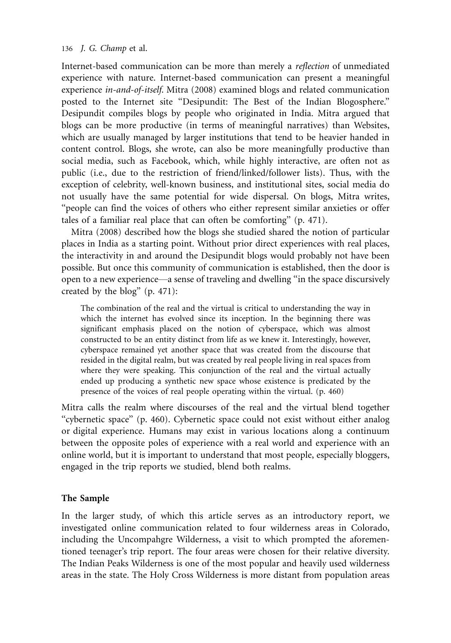Internet-based communication can be more than merely a reflection of unmediated experience with nature. Internet-based communication can present a meaningful experience in-and-of-itself. Mitra (2008) examined blogs and related communication posted to the Internet site ''Desipundit: The Best of the Indian Blogosphere.'' Desipundit compiles blogs by people who originated in India. Mitra argued that blogs can be more productive (in terms of meaningful narratives) than Websites, which are usually managed by larger institutions that tend to be heavier handed in content control. Blogs, she wrote, can also be more meaningfully productive than social media, such as Facebook, which, while highly interactive, are often not as public (i.e., due to the restriction of friend/linked/follower lists). Thus, with the exception of celebrity, well-known business, and institutional sites, social media do not usually have the same potential for wide dispersal. On blogs, Mitra writes, "people can find the voices of others who either represent similar anxieties or offer tales of a familiar real place that can often be comforting'' (p. 471).

Mitra (2008) described how the blogs she studied shared the notion of particular places in India as a starting point. Without prior direct experiences with real places, the interactivity in and around the Desipundit blogs would probably not have been possible. But once this community of communication is established, then the door is open to a new experience—a sense of traveling and dwelling "in the space discursively created by the blog'' (p. 471):

The combination of the real and the virtual is critical to understanding the way in which the internet has evolved since its inception. In the beginning there was significant emphasis placed on the notion of cyberspace, which was almost constructed to be an entity distinct from life as we knew it. Interestingly, however, cyberspace remained yet another space that was created from the discourse that resided in the digital realm, but was created by real people living in real spaces from where they were speaking. This conjunction of the real and the virtual actually ended up producing a synthetic new space whose existence is predicated by the presence of the voices of real people operating within the virtual. (p. 460)

Mitra calls the realm where discourses of the real and the virtual blend together "cybernetic space" (p. 460). Cybernetic space could not exist without either analog or digital experience. Humans may exist in various locations along a continuum between the opposite poles of experience with a real world and experience with an online world, but it is important to understand that most people, especially bloggers, engaged in the trip reports we studied, blend both realms.

## The Sample

In the larger study, of which this article serves as an introductory report, we investigated online communication related to four wilderness areas in Colorado, including the Uncompahgre Wilderness, a visit to which prompted the aforementioned teenager's trip report. The four areas were chosen for their relative diversity. The Indian Peaks Wilderness is one of the most popular and heavily used wilderness areas in the state. The Holy Cross Wilderness is more distant from population areas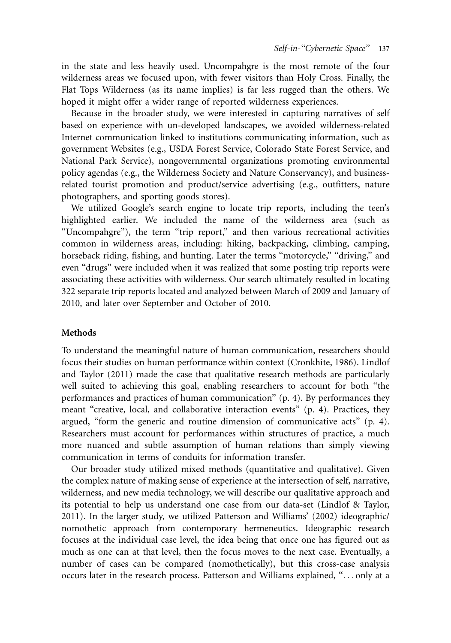in the state and less heavily used. Uncompahgre is the most remote of the four wilderness areas we focused upon, with fewer visitors than Holy Cross. Finally, the Flat Tops Wilderness (as its name implies) is far less rugged than the others. We hoped it might offer a wider range of reported wilderness experiences.

Because in the broader study, we were interested in capturing narratives of self based on experience with un-developed landscapes, we avoided wilderness-related Internet communication linked to institutions communicating information, such as government Websites (e.g., USDA Forest Service, Colorado State Forest Service, and National Park Service), nongovernmental organizations promoting environmental policy agendas (e.g., the Wilderness Society and Nature Conservancy), and businessrelated tourist promotion and product/service advertising (e.g., outfitters, nature photographers, and sporting goods stores).

We utilized Google's search engine to locate trip reports, including the teen's highlighted earlier. We included the name of the wilderness area (such as ''Uncompahgre''), the term ''trip report,'' and then various recreational activities common in wilderness areas, including: hiking, backpacking, climbing, camping, horseback riding, fishing, and hunting. Later the terms "motorcycle," "driving," and even ''drugs'' were included when it was realized that some posting trip reports were associating these activities with wilderness. Our search ultimately resulted in locating 322 separate trip reports located and analyzed between March of 2009 and January of 2010, and later over September and October of 2010.

## **Methods**

To understand the meaningful nature of human communication, researchers should focus their studies on human performance within context (Cronkhite, 1986). Lindlof and Taylor (2011) made the case that qualitative research methods are particularly well suited to achieving this goal, enabling researchers to account for both ''the performances and practices of human communication'' (p. 4). By performances they meant "creative, local, and collaborative interaction events" (p. 4). Practices, they argued, ''form the generic and routine dimension of communicative acts'' (p. 4). Researchers must account for performances within structures of practice, a much more nuanced and subtle assumption of human relations than simply viewing communication in terms of conduits for information transfer.

Our broader study utilized mixed methods (quantitative and qualitative). Given the complex nature of making sense of experience at the intersection of self, narrative, wilderness, and new media technology, we will describe our qualitative approach and its potential to help us understand one case from our data-set (Lindlof & Taylor, 2011). In the larger study, we utilized Patterson and Williams' (2002) ideographic/ nomothetic approach from contemporary hermeneutics. Ideographic research focuses at the individual case level, the idea being that once one has figured out as much as one can at that level, then the focus moves to the next case. Eventually, a number of cases can be compared (nomothetically), but this cross-case analysis occurs later in the research process. Patterson and Williams explained, ''... only at a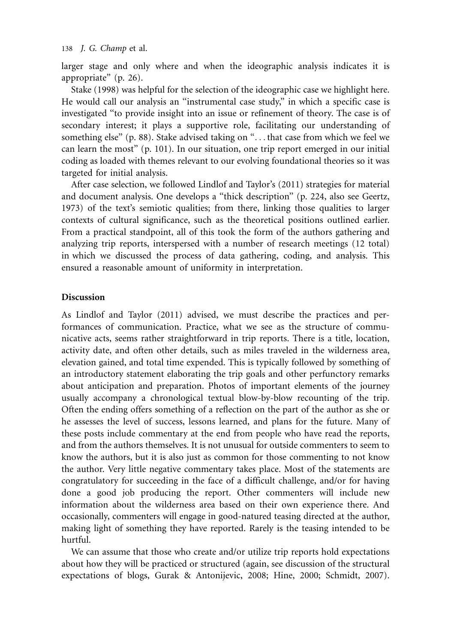larger stage and only where and when the ideographic analysis indicates it is appropriate'' (p. 26).

Stake (1998) was helpful for the selection of the ideographic case we highlight here. He would call our analysis an ''instrumental case study,'' in which a specific case is investigated ''to provide insight into an issue or refinement of theory. The case is of secondary interest; it plays a supportive role, facilitating our understanding of something else" (p. 88). Stake advised taking on "...that case from which we feel we can learn the most'' (p. 101). In our situation, one trip report emerged in our initial coding as loaded with themes relevant to our evolving foundational theories so it was targeted for initial analysis.

After case selection, we followed Lindlof and Taylor's (2011) strategies for material and document analysis. One develops a ''thick description'' (p. 224, also see Geertz, 1973) of the text's semiotic qualities; from there, linking those qualities to larger contexts of cultural significance, such as the theoretical positions outlined earlier. From a practical standpoint, all of this took the form of the authors gathering and analyzing trip reports, interspersed with a number of research meetings (12 total) in which we discussed the process of data gathering, coding, and analysis. This ensured a reasonable amount of uniformity in interpretation.

#### Discussion

As Lindlof and Taylor (2011) advised, we must describe the practices and performances of communication. Practice, what we see as the structure of communicative acts, seems rather straightforward in trip reports. There is a title, location, activity date, and often other details, such as miles traveled in the wilderness area, elevation gained, and total time expended. This is typically followed by something of an introductory statement elaborating the trip goals and other perfunctory remarks about anticipation and preparation. Photos of important elements of the journey usually accompany a chronological textual blow-by-blow recounting of the trip. Often the ending offers something of a reflection on the part of the author as she or he assesses the level of success, lessons learned, and plans for the future. Many of these posts include commentary at the end from people who have read the reports, and from the authors themselves. It is not unusual for outside commenters to seem to know the authors, but it is also just as common for those commenting to not know the author. Very little negative commentary takes place. Most of the statements are congratulatory for succeeding in the face of a difficult challenge, and/or for having done a good job producing the report. Other commenters will include new information about the wilderness area based on their own experience there. And occasionally, commenters will engage in good-natured teasing directed at the author, making light of something they have reported. Rarely is the teasing intended to be hurtful.

We can assume that those who create and/or utilize trip reports hold expectations about how they will be practiced or structured (again, see discussion of the structural expectations of blogs, Gurak & Antonijevic, 2008; Hine, 2000; Schmidt, 2007).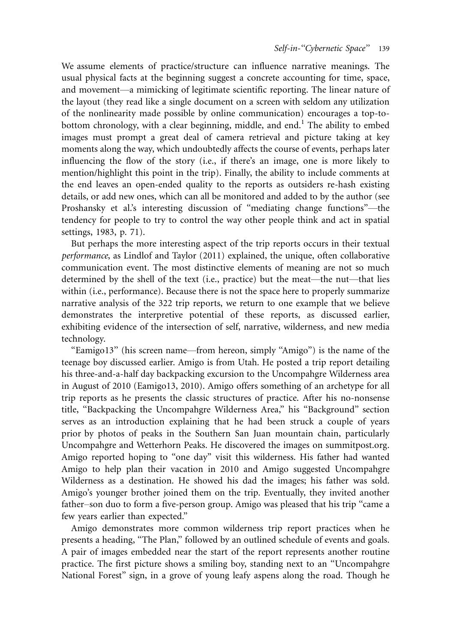We assume elements of practice/structure can influence narrative meanings. The usual physical facts at the beginning suggest a concrete accounting for time, space, and movement—a mimicking of legitimate scientific reporting. The linear nature of the layout (they read like a single document on a screen with seldom any utilization of the nonlinearity made possible by online communication) encourages a top-tobottom chronology, with a clear beginning, middle, and end.<sup>1</sup> The ability to embed images must prompt a great deal of camera retrieval and picture taking at key moments along the way, which undoubtedly affects the course of events, perhaps later influencing the flow of the story (i.e., if there's an image, one is more likely to mention/highlight this point in the trip). Finally, the ability to include comments at the end leaves an open-ended quality to the reports as outsiders re-hash existing details, or add new ones, which can all be monitored and added to by the author (see Proshansky et al.'s interesting discussion of "mediating change functions"—the tendency for people to try to control the way other people think and act in spatial settings, 1983, p. 71).

But perhaps the more interesting aspect of the trip reports occurs in their textual performance, as Lindlof and Taylor (2011) explained, the unique, often collaborative communication event. The most distinctive elements of meaning are not so much determined by the shell of the text (i.e., practice) but the meat—the nut—that lies within (i.e., performance). Because there is not the space here to properly summarize narrative analysis of the 322 trip reports, we return to one example that we believe demonstrates the interpretive potential of these reports, as discussed earlier, exhibiting evidence of the intersection of self, narrative, wilderness, and new media technology.

"Eamigo13" (his screen name—from hereon, simply "Amigo") is the name of the teenage boy discussed earlier. Amigo is from Utah. He posted a trip report detailing his three-and-a-half day backpacking excursion to the Uncompahgre Wilderness area in August of 2010 (Eamigo13, 2010). Amigo offers something of an archetype for all trip reports as he presents the classic structures of practice. After his no-nonsense title, ''Backpacking the Uncompahgre Wilderness Area,'' his ''Background'' section serves as an introduction explaining that he had been struck a couple of years prior by photos of peaks in the Southern San Juan mountain chain, particularly Uncompahgre and Wetterhorn Peaks. He discovered the images on summitpost.org. Amigo reported hoping to "one day" visit this wilderness. His father had wanted Amigo to help plan their vacation in 2010 and Amigo suggested Uncompahgre Wilderness as a destination. He showed his dad the images; his father was sold. Amigo's younger brother joined them on the trip. Eventually, they invited another father-son duo to form a five-person group. Amigo was pleased that his trip "came a few years earlier than expected.''

Amigo demonstrates more common wilderness trip report practices when he presents a heading, ''The Plan,'' followed by an outlined schedule of events and goals. A pair of images embedded near the start of the report represents another routine practice. The first picture shows a smiling boy, standing next to an ''Uncompahgre National Forest'' sign, in a grove of young leafy aspens along the road. Though he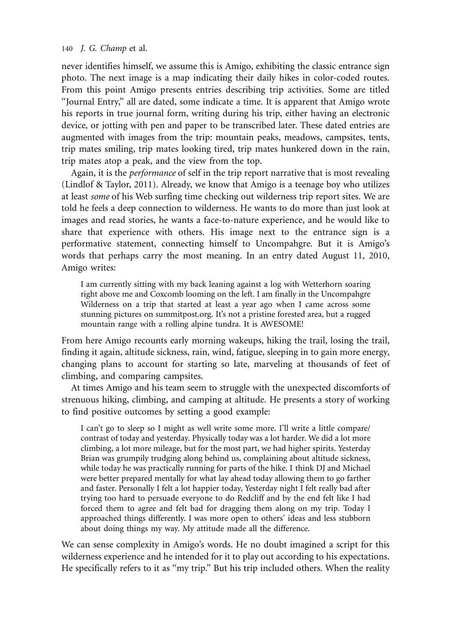never identifies himself, we assume this is Amigo, exhibiting the classic entrance sign photo. The next image is a map indicating their daily hikes in color-coded routes. From this point Amigo presents entries describing trip activities. Some are titled ''Journal Entry,'' all are dated, some indicate a time. It is apparent that Amigo wrote his reports in true journal form, writing during his trip, either having an electronic device, or jotting with pen and paper to be transcribed later. These dated entries are augmented with images from the trip: mountain peaks, meadows, campsites, tents, trip mates smiling, trip mates looking tired, trip mates hunkered down in the rain, trip mates atop a peak, and the view from the top.

Again, it is the performance of self in the trip report narrative that is most revealing (Lindlof & Taylor, 2011). Already, we know that Amigo is a teenage boy who utilizes at least some of his Web surfing time checking out wilderness trip report sites. We are told he feels a deep connection to wilderness. He wants to do more than just look at images and read stories, he wants a face-to-nature experience, and he would like to share that experience with others. His image next to the entrance sign is a performative statement, connecting himself to Uncompahgre. But it is Amigo's words that perhaps carry the most meaning. In an entry dated August 11, 2010, Amigo writes:

I am currently sitting with my back leaning against a log with Wetterhorn soaring right above me and Coxcomb looming on the left. I am finally in the Uncompahgre Wilderness on a trip that started at least a year ago when I came across some stunning pictures on summitpost.org. It's not a pristine forested area, but a rugged mountain range with a rolling alpine tundra. It is AWESOME!

From here Amigo recounts early morning wakeups, hiking the trail, losing the trail, finding it again, altitude sickness, rain, wind, fatigue, sleeping in to gain more energy, changing plans to account for starting so late, marveling at thousands of feet of climbing, and comparing campsites.

At times Amigo and his team seem to struggle with the unexpected discomforts of strenuous hiking, climbing, and camping at altitude. He presents a story of working to find positive outcomes by setting a good example:

I can't go to sleep so I might as well write some more. I'll write a little compare/ contrast of today and yesterday. Physically today was a lot harder. We did a lot more climbing, a lot more mileage, but for the most part, we had higher spirits. Yesterday Brian was grumpily trudging along behind us, complaining about altitude sickness, while today he was practically running for parts of the hike. I think DJ and Michael were better prepared mentally for what lay ahead today allowing them to go farther and faster. Personally I felt a lot happier today, Yesterday night I felt really bad after trying too hard to persuade everyone to do Redcliff and by the end felt like I had forced them to agree and felt bad for dragging them along on my trip. Today I approached things differently. I was more open to others' ideas and less stubborn about doing things my way. My attitude made all the difference.

We can sense complexity in Amigo's words. He no doubt imagined a script for this wilderness experience and he intended for it to play out according to his expectations. He specifically refers to it as ''my trip.'' But his trip included others. When the reality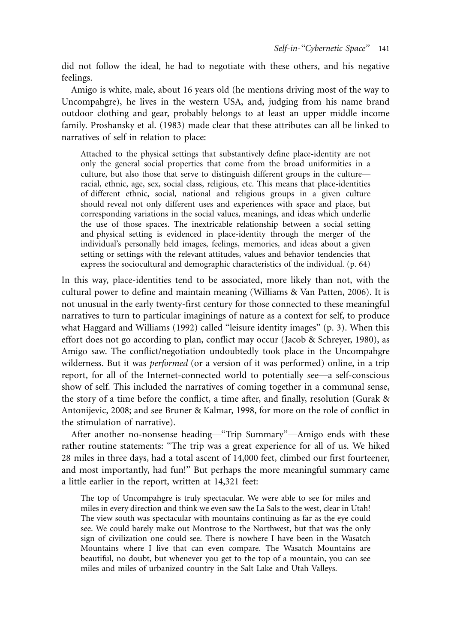did not follow the ideal, he had to negotiate with these others, and his negative feelings.

Amigo is white, male, about 16 years old (he mentions driving most of the way to Uncompahgre), he lives in the western USA, and, judging from his name brand outdoor clothing and gear, probably belongs to at least an upper middle income family. Proshansky et al. (1983) made clear that these attributes can all be linked to narratives of self in relation to place:

Attached to the physical settings that substantively define place-identity are not only the general social properties that come from the broad uniformities in a culture, but also those that serve to distinguish different groups in the culture\* racial, ethnic, age, sex, social class, religious, etc. This means that place-identities of different ethnic, social, national and religious groups in a given culture should reveal not only different uses and experiences with space and place, but corresponding variations in the social values, meanings, and ideas which underlie the use of those spaces. The inextricable relationship between a social setting and physical setting is evidenced in place-identity through the merger of the individual's personally held images, feelings, memories, and ideas about a given setting or settings with the relevant attitudes, values and behavior tendencies that express the sociocultural and demographic characteristics of the individual. (p. 64)

In this way, place-identities tend to be associated, more likely than not, with the cultural power to define and maintain meaning (Williams & Van Patten, 2006). It is not unusual in the early twenty-first century for those connected to these meaningful narratives to turn to particular imaginings of nature as a context for self, to produce what Haggard and Williams (1992) called ''leisure identity images'' (p. 3). When this effort does not go according to plan, conflict may occur (Jacob & Schreyer, 1980), as Amigo saw. The conflict/negotiation undoubtedly took place in the Uncompahgre wilderness. But it was performed (or a version of it was performed) online, in a trip report, for all of the Internet-connected world to potentially see—a self-conscious show of self. This included the narratives of coming together in a communal sense, the story of a time before the conflict, a time after, and finally, resolution (Gurak & Antonijevic, 2008; and see Bruner & Kalmar, 1998, for more on the role of conflict in the stimulation of narrative).

After another no-nonsense heading-"Trip Summary"-Amigo ends with these rather routine statements: ''The trip was a great experience for all of us. We hiked 28 miles in three days, had a total ascent of 14,000 feet, climbed our first fourteener, and most importantly, had fun!'' But perhaps the more meaningful summary came a little earlier in the report, written at 14,321 feet:

The top of Uncompahgre is truly spectacular. We were able to see for miles and miles in every direction and think we even saw the La Sals to the west, clear in Utah! The view south was spectacular with mountains continuing as far as the eye could see. We could barely make out Montrose to the Northwest, but that was the only sign of civilization one could see. There is nowhere I have been in the Wasatch Mountains where I live that can even compare. The Wasatch Mountains are beautiful, no doubt, but whenever you get to the top of a mountain, you can see miles and miles of urbanized country in the Salt Lake and Utah Valleys.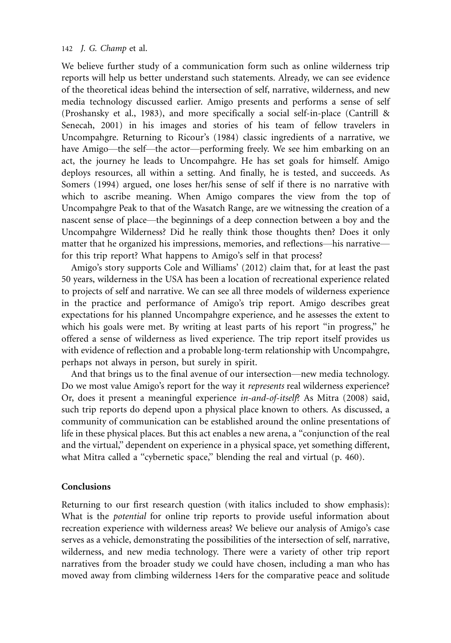We believe further study of a communication form such as online wilderness trip reports will help us better understand such statements. Already, we can see evidence of the theoretical ideas behind the intersection of self, narrative, wilderness, and new media technology discussed earlier. Amigo presents and performs a sense of self (Proshansky et al., 1983), and more specifically a social self-in-place (Cantrill & Senecah, 2001) in his images and stories of his team of fellow travelers in Uncompahgre. Returning to Ricour's (1984) classic ingredients of a narrative, we have Amigo—the self—the actor—performing freely. We see him embarking on an act, the journey he leads to Uncompahgre. He has set goals for himself. Amigo deploys resources, all within a setting. And finally, he is tested, and succeeds. As Somers (1994) argued, one loses her/his sense of self if there is no narrative with which to ascribe meaning. When Amigo compares the view from the top of Uncompahgre Peak to that of the Wasatch Range, are we witnessing the creation of a nascent sense of place—the beginnings of a deep connection between a boy and the Uncompahgre Wilderness? Did he really think those thoughts then? Does it only matter that he organized his impressions, memories, and reflections—his narrative for this trip report? What happens to Amigo's self in that process?

Amigo's story supports Cole and Williams' (2012) claim that, for at least the past 50 years, wilderness in the USA has been a location of recreational experience related to projects of self and narrative. We can see all three models of wilderness experience in the practice and performance of Amigo's trip report. Amigo describes great expectations for his planned Uncompahgre experience, and he assesses the extent to which his goals were met. By writing at least parts of his report "in progress," he offered a sense of wilderness as lived experience. The trip report itself provides us with evidence of reflection and a probable long-term relationship with Uncompahgre, perhaps not always in person, but surely in spirit.

And that brings us to the final avenue of our intersection—new media technology. Do we most value Amigo's report for the way it represents real wilderness experience? Or, does it present a meaningful experience in-and-of-itself? As Mitra (2008) said, such trip reports do depend upon a physical place known to others. As discussed, a community of communication can be established around the online presentations of life in these physical places. But this act enables a new arena, a ''conjunction of the real and the virtual,'' dependent on experience in a physical space, yet something different, what Mitra called a "cybernetic space," blending the real and virtual (p. 460).

## **Conclusions**

Returning to our first research question (with italics included to show emphasis): What is the *potential* for online trip reports to provide useful information about recreation experience with wilderness areas? We believe our analysis of Amigo's case serves as a vehicle, demonstrating the possibilities of the intersection of self, narrative, wilderness, and new media technology. There were a variety of other trip report narratives from the broader study we could have chosen, including a man who has moved away from climbing wilderness 14ers for the comparative peace and solitude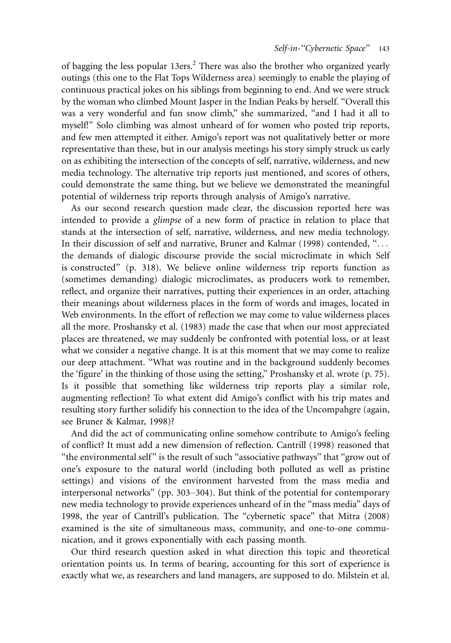of bagging the less popular 13ers.<sup>2</sup> There was also the brother who organized yearly outings (this one to the Flat Tops Wilderness area) seemingly to enable the playing of continuous practical jokes on his siblings from beginning to end. And we were struck by the woman who climbed Mount Jasper in the Indian Peaks by herself. ''Overall this was a very wonderful and fun snow climb,'' she summarized, ''and I had it all to myself!'' Solo climbing was almost unheard of for women who posted trip reports, and few men attempted it either. Amigo's report was not qualitatively better or more representative than these, but in our analysis meetings his story simply struck us early on as exhibiting the intersection of the concepts of self, narrative, wilderness, and new media technology. The alternative trip reports just mentioned, and scores of others, could demonstrate the same thing, but we believe we demonstrated the meaningful potential of wilderness trip reports through analysis of Amigo's narrative.

As our second research question made clear, the discussion reported here was intended to provide a glimpse of a new form of practice in relation to place that stands at the intersection of self, narrative, wilderness, and new media technology. In their discussion of self and narrative, Bruner and Kalmar (1998) contended, ''... the demands of dialogic discourse provide the social microclimate in which Self is constructed'' (p. 318). We believe online wilderness trip reports function as (sometimes demanding) dialogic microclimates, as producers work to remember, reflect, and organize their narratives, putting their experiences in an order, attaching their meanings about wilderness places in the form of words and images, located in Web environments. In the effort of reflection we may come to value wilderness places all the more. Proshansky et al. (1983) made the case that when our most appreciated places are threatened, we may suddenly be confronted with potential loss, or at least what we consider a negative change. It is at this moment that we may come to realize our deep attachment. ''What was routine and in the background suddenly becomes the 'figure' in the thinking of those using the setting,'' Proshansky et al. wrote (p. 75). Is it possible that something like wilderness trip reports play a similar role, augmenting reflection? To what extent did Amigo's conflict with his trip mates and resulting story further solidify his connection to the idea of the Uncompahgre (again, see Bruner & Kalmar, 1998)?

And did the act of communicating online somehow contribute to Amigo's feeling of conflict? It must add a new dimension of reflection. Cantrill (1998) reasoned that "the environmental self" is the result of such "associative pathways" that "grow out of one's exposure to the natural world (including both polluted as well as pristine settings) and visions of the environment harvested from the mass media and interpersonal networks" (pp. 303–304). But think of the potential for contemporary new media technology to provide experiences unheard of in the ''mass media'' days of 1998, the year of Cantrill's publication. The ''cybernetic space'' that Mitra (2008) examined is the site of simultaneous mass, community, and one-to-one communication, and it grows exponentially with each passing month.

Our third research question asked in what direction this topic and theoretical orientation points us. In terms of bearing, accounting for this sort of experience is exactly what we, as researchers and land managers, are supposed to do. Milstein et al.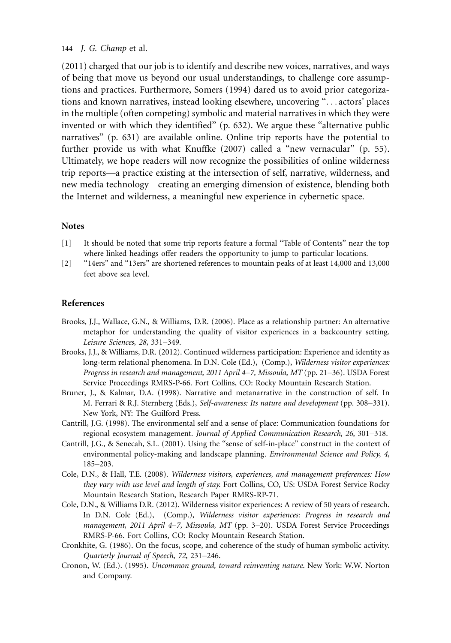(2011) charged that our job is to identify and describe new voices, narratives, and ways of being that move us beyond our usual understandings, to challenge core assumptions and practices. Furthermore, Somers (1994) dared us to avoid prior categorizations and known narratives, instead looking elsewhere, uncovering ''... actors' places in the multiple (often competing) symbolic and material narratives in which they were invented or with which they identified'' (p. 632). We argue these ''alternative public narratives'' (p. 631) are available online. Online trip reports have the potential to further provide us with what Knuffke (2007) called a "new vernacular" (p. 55). Ultimately, we hope readers will now recognize the possibilities of online wilderness trip reports—a practice existing at the intersection of self, narrative, wilderness, and new media technology—creating an emerging dimension of existence, blending both the Internet and wilderness, a meaningful new experience in cybernetic space.

## **Notes**

- [1] It should be noted that some trip reports feature a formal ''Table of Contents'' near the top where linked headings offer readers the opportunity to jump to particular locations.
- [2] ''14ers'' and ''13ers'' are shortened references to mountain peaks of at least 14,000 and 13,000 feet above sea level.

# References

- Brooks, J.J., Wallace, G.N., & Williams, D.R. (2006). Place as a relationship partner: An alternative metaphor for understanding the quality of visitor experiences in a backcountry setting. Leisure Sciences, 28, 331-349.
- Brooks, J.J., & Williams, D.R. (2012). Continued wilderness participation: Experience and identity as long-term relational phenomena. In D.N. Cole (Ed.), (Comp.), Wilderness visitor experiences: Progress in research and management, 2011 April 4–7, Missoula,  $MT$  (pp. 21–36). USDA Forest Service Proceedings RMRS-P-66. Fort Collins, CO: Rocky Mountain Research Station.
- Bruner, J., & Kalmar, D.A. (1998). Narrative and metanarrative in the construction of self. In M. Ferrari & R.J. Sternberg (Eds.), Self-awareness: Its nature and development (pp. 308-331). New York, NY: The Guilford Press.
- Cantrill, J.G. (1998). The environmental self and a sense of place: Communication foundations for regional ecosystem management. Journal of Applied Communication Research, 26, 301-318.
- Cantrill, J.G., & Senecah, S.L. (2001). Using the ''sense of self-in-place'' construct in the context of environmental policy-making and landscape planning. Environmental Science and Policy, 4, 185-203.
- Cole, D.N., & Hall, T.E. (2008). Wilderness visitors, experiences, and management preferences: How they vary with use level and length of stay. Fort Collins, CO, US: USDA Forest Service Rocky Mountain Research Station, Research Paper RMRS-RP-71.
- Cole, D.N., & Williams D.R. (2012). Wilderness visitor experiences: A review of 50 years of research. In D.N. Cole (Ed.), (Comp.), Wilderness visitor experiences: Progress in research and management, 2011 April 4-7, Missoula, MT (pp. 3-20). USDA Forest Service Proceedings RMRS-P-66. Fort Collins, CO: Rocky Mountain Research Station.
- Cronkhite, G. (1986). On the focus, scope, and coherence of the study of human symbolic activity. Quarterly Journal of Speech, 72, 231-246.
- Cronon, W. (Ed.). (1995). Uncommon ground, toward reinventing nature. New York: W.W. Norton and Company.